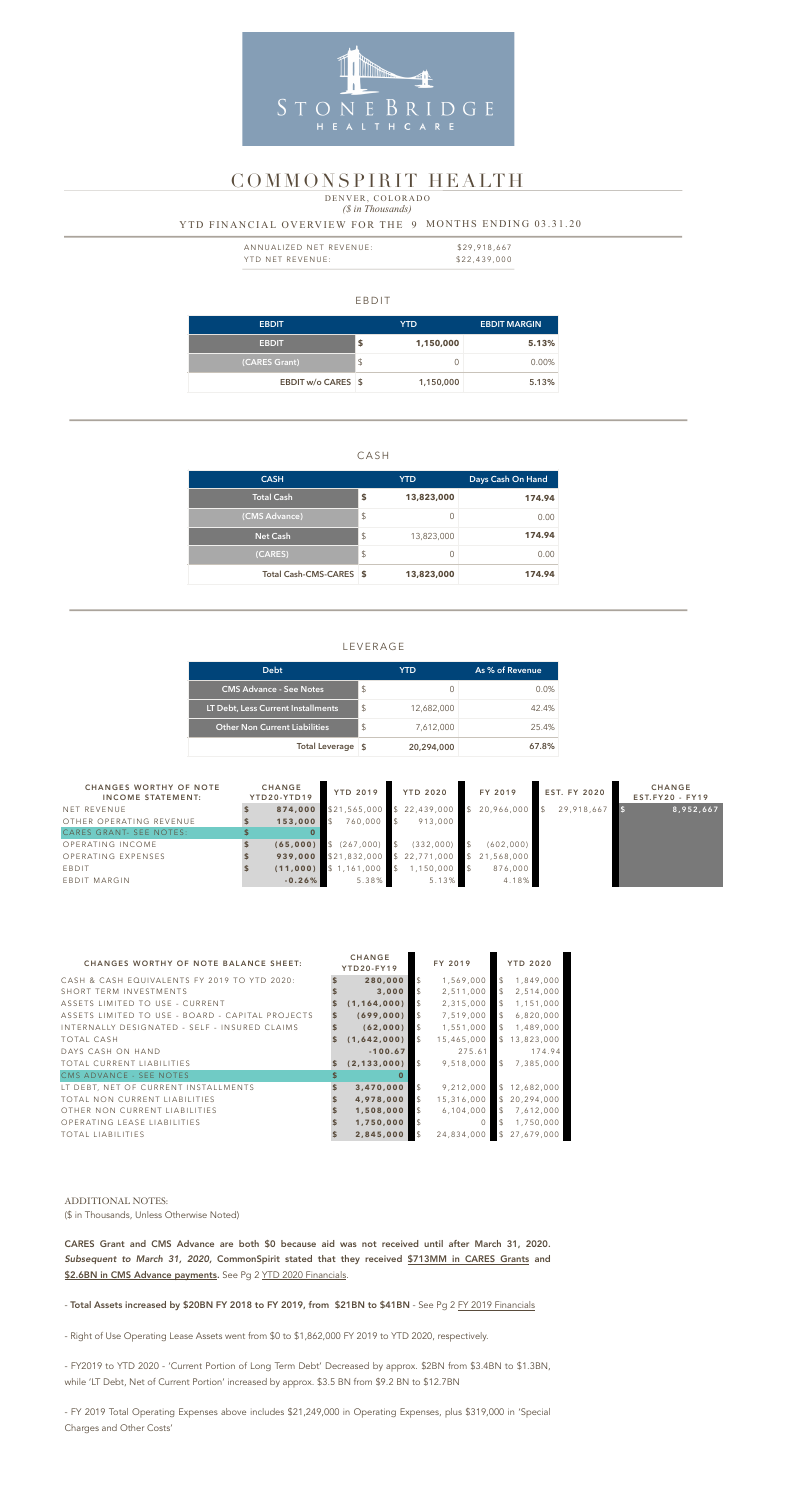#### EBDIT

| <b>EBDIT</b>       | YTD.      | <b>EBDIT MARGIN</b> |  |  |
|--------------------|-----------|---------------------|--|--|
| <b>EBDIT</b>       | 1,150,000 | 5.13%               |  |  |
| (CARES Grant)      | \$        | 0.00%               |  |  |
| EBDIT w/o CARES \$ | 1,150,000 | 5.13%               |  |  |

### CASH

| <b>CASH</b>             |               | <b>YTD</b> | Days Cash On Hand |  |  |
|-------------------------|---------------|------------|-------------------|--|--|
| Total Cash              | \$            | 13,823,000 | 174.94            |  |  |
| (CMS Advance)           | \$            | 0          | 0.00              |  |  |
| <b>Net Cash</b>         | $\frac{1}{2}$ | 13,823,000 | 174.94            |  |  |
| (CARES)                 | $\frac{1}{2}$ | 0          | 0.00              |  |  |
| Total Cash-CMS-CARES \$ |               | 13,823,000 | 174.94            |  |  |

| ANNUALIZED NET REVENUE: | \$29,918,667 |
|-------------------------|--------------|
| YTD NET REVENUE:        | \$22,439,000 |

### LEVERAGE

### *(\$ in Thousands)* YTD FINANCIAL OVERVIEW FOR THE 9 MONTHS ENDING 03.31.20 DENVER, COLORADO

| <b>Debt</b>                          |               | YTD        | As % of Revenue |  |  |
|--------------------------------------|---------------|------------|-----------------|--|--|
| <b>CMS Advance - See Notes</b>       | \$            |            | $0.0\%$         |  |  |
| LT Debt, Less Current Installments   | $\mathcal{L}$ | 12,682,000 | 42.4%           |  |  |
| <b>Other Non Current Liabilities</b> | $\mathcal{L}$ | 7,612,000  | 25.4%           |  |  |
| <b>Total Leverage</b>                | - 5           | 20,294,000 | 67.8%           |  |  |



# COMMONSPIRIT HEALTH

| <b>CHANGES WORTHY OF NOTE</b><br><b>INCOME STATEMENT:</b> | <b>CHANGE</b><br>YTD20-YTD19 | <b>YTD 2019</b> |               | <b>YTD 2020</b> | FY 2019    | <b>EST. FY 2020</b> | <b>CHANGE</b><br>EST.FY20 - FY19 |
|-----------------------------------------------------------|------------------------------|-----------------|---------------|-----------------|------------|---------------------|----------------------------------|
| NET REVENUE                                               | 874,000                      | \$21,565,000    |               | \$22,439,000    | 20,966,000 | 29,918,667          | 8,952,667                        |
| OTHER OPERATING REVENUE                                   | 153,000                      | 760,000         | $\mathcal{S}$ | 913,000         |            |                     |                                  |
| CARES GRANT- SEE NOTES:                                   |                              |                 |               |                 |            |                     |                                  |
| OPERATING INCOME                                          | (65,000)                     | (267,000)       | $\mathsf{S}$  | (332,000)       | (602,000)  |                     |                                  |
| OPERATING EXPENSES                                        | 939,000                      | \$21,832,000    |               | \$22,771,000    | 21,568,000 |                     |                                  |
| EBDIT                                                     | (11,000)                     | , 161, 000      |               | $1,150,000$ \$  | 876,000    |                     |                                  |
| EBDIT MARGIN                                              | $-0.26%$                     | 5.38%           |               | 5.13%           | 4.18%      |                     |                                  |

CARES Grant and CMS Advance are both \$0 because aid was not received until after March 31, 2020. *Subsequent to March 31, 2020,* CommonSpirit stated that they received [\\$713MM in CARES Grants](https://emma.msrb.org/SS1383189-SS1076828-SS1484294.pdf) and [\\$2.6BN in CMS Advance payments](https://emma.msrb.org/SS1383189-SS1076828-SS1484294.pdf). See Pg 2 [YTD 2020 Financials](https://emma.msrb.org/SS1383189-SS1076828-SS1484294.pdf).

- Total Assets increased by \$20BN FY 2018 to FY 2019, from \$21BN to \$41BN - See Pg 2 [FY 2019 Financials](https://emma.msrb.org/ES1324594-ES1024398-ES1426239.pdf)

| <b>CHANGES WORTHY OF NOTE BALANCE SHEET:</b>     |    | <b>CHANGE</b><br>YTD20-FY19 |                | FY 2019    |               | <b>YTD 2020</b> |
|--------------------------------------------------|----|-----------------------------|----------------|------------|---------------|-----------------|
| CASH & CASH EQUIVALENTS FY 2019 TO YTD 2020:     |    | 280,000                     | $\sqrt{2}$     | 1,569,000  | $\mathcal{L}$ | 1,849,000       |
| SHORT TERM INVESTMENTS                           |    | 3,000                       | \$             | 2,511,000  | $\mathcal{L}$ | 2,514,000       |
| ASSETS LIMITED TO USE - CURRENT                  |    | (1, 164, 000)               | $\mathcal{L}$  | 2,315,000  | $\mathcal{S}$ | 1,151,000       |
| ASSETS LIMITED TO USE - BOARD - CAPITAL PROJECTS |    | (699, 000)                  | $\mathfrak{L}$ | 7,519,000  | $\mathcal{S}$ | 6,820,000       |
| INTERNALLY DESIGNATED - SELF - INSURED CLAIMS    |    | (62,000)                    | $\mathcal{L}$  | 1,551,000  | \$            | 1,489,000       |
| TOTAL CASH                                       | S. | (1,642,000)                 | $\mathfrak{L}$ | 15,465,000 | \$            | 13,823,000      |
| DAYS CASH ON HAND                                |    | $-100.67$                   |                | 275.61     |               | 174.94          |
| TOTAL CURRENT LIABILITIES                        |    | (2, 133, 000)               | $\mathcal{L}$  | 9.518.000  | $\mathcal{S}$ | 7,385,000       |
| CMS ADVANCE - SEE NOTES                          | \$ | $\mathbf 0$                 |                |            |               |                 |
| LT DEBT, NET OF CURRENT INSTALLMENTS             |    | 3,470,000                   | $\sqrt{2}$     | 9,212,000  |               | \$12,682,000    |
| TOTAL NON CURRENT LIABILITIES                    |    | 4,978,000                   | \$             | 15,316,000 | $\mathbb{S}$  | 20,294,000      |
| OTHER NON CURRENT LIABILITIES                    |    | 1,508,000                   | \$             | 6,104,000  | <sup>\$</sup> | 7,612,000       |
| OPERATING LEASE LIABILITIES                      |    | 1,750,000                   | $\frac{1}{2}$  | $\Omega$   | $\mathcal{S}$ | 1,750,000       |
| TOTAL LIABILITIES                                |    | 2,845,000                   | $\mathcal{L}$  | 24,834,000 | $\mathbb{S}$  | 27,679,000      |

#### ADDITIONAL NOTES:

(\$ in Thousands, Unless Otherwise Noted)

- Right of Use Operating Lease Assets went from \$0 to \$1,862,000 FY 2019 to YTD 2020, respectively.

- FY2019 to YTD 2020 - 'Current Portion of Long Term Debt' Decreased by approx. \$2BN from \$3.4BN to \$1.3BN, while 'LT Debt, Net of Current Portion' increased by approx. \$3.5 BN from \$9.2 BN to \$12.7BN

- FY 2019 Total Operating Expenses above includes \$21,249,000 in Operating Expenses, plus \$319,000 in 'Special Charges and Other Costs'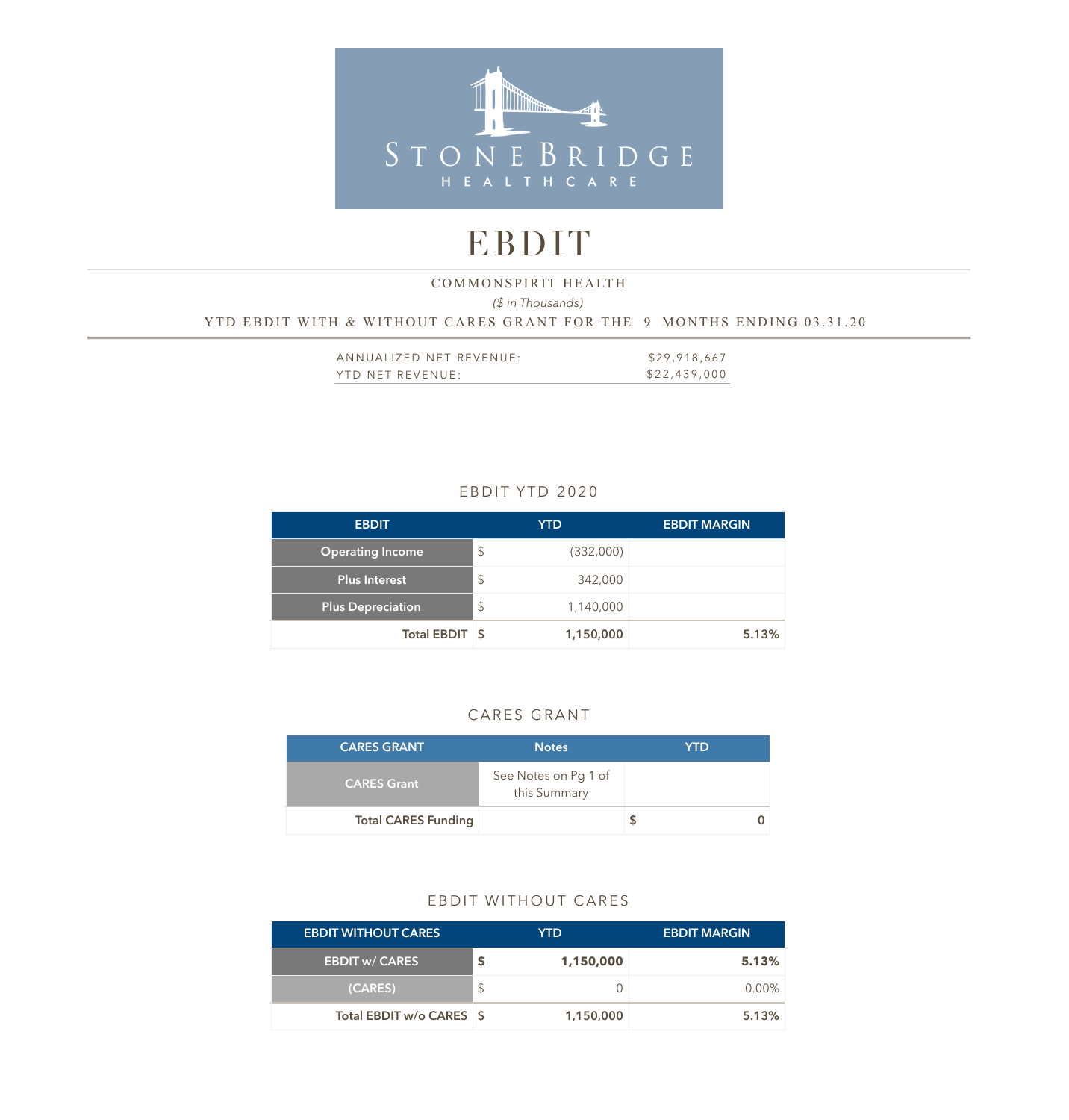

# EBDIT

### *(\$ in Thousands)*  YTD EBDIT WITH & WITHOUT CARES GRANT FOR THE 9 MONTHS ENDING 03.31.20 COMMONSPIRIT HEALTH

| ANNUALIZED NET REVENUE: | \$29,918,667 |
|-------------------------|--------------|
| YTD NET REVENUE:        | \$22,439,000 |

## EBDIT YTD 2020

| <b>EBDIT</b>             | <b>YTD</b>    |           | <b>EBDIT MARGIN</b> |
|--------------------------|---------------|-----------|---------------------|
| <b>Operating Income</b>  | $\frac{1}{2}$ | (332,000) |                     |
| <b>Plus Interest</b>     | $\sqrt{2}$    | 342,000   |                     |
| <b>Plus Depreciation</b> | $\sqrt{2}$    | 1,140,000 |                     |
| Total EBDIT \$           |               | 1,150,000 | 5.13%               |

### CARES GRANT

| <b>CARES GRANT</b>         | <b>Notes</b>                         | YTD |
|----------------------------|--------------------------------------|-----|
| <b>CARES Grant</b>         | See Notes on Pg 1 of<br>this Summary |     |
| <b>Total CARES Funding</b> |                                      |     |

### EBDIT WITHOUT CARES

| <b>EBDIT WITHOUT CARES</b> |     | YTD.      | <b>EBDIT MARGIN</b> |
|----------------------------|-----|-----------|---------------------|
| <b>EBDIT w/ CARES</b>      |     | 1,150,000 | 5.13%               |
| (CARES)                    | \$. |           | $0.00\%$            |
| Total EBDIT w/o CARES \$   |     | 1,150,000 | 5.13%               |